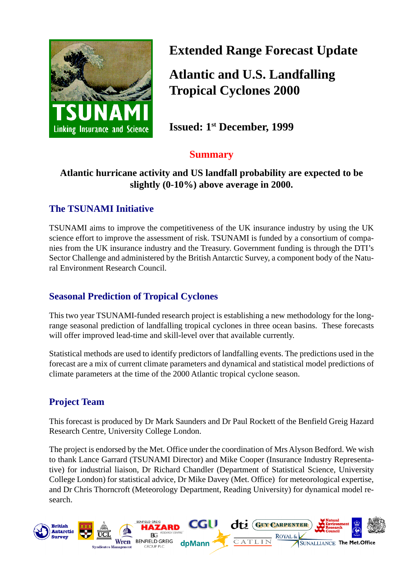

**Extended Range Forecast Update**

**Atlantic and U.S. Landfalling Tropical Cyclones 2000**

**Issued: 1st December, 1999**

## **Summary**

#### **Atlantic hurricane activity and US landfall probability are expected to be slightly (0-10%) above average in 2000.**

### **The TSUNAMI Initiative**

TSUNAMI aims to improve the competitiveness of the UK insurance industry by using the UK science effort to improve the assessment of risk. TSUNAMI is funded by a consortium of companies from the UK insurance industry and the Treasury. Government funding is through the DTI's Sector Challenge and administered by the British Antarctic Survey, a component body of the Natural Environment Research Council.

### **Seasonal Prediction of Tropical Cyclones**

This two year TSUNAMI-funded research project is establishing a new methodology for the longrange seasonal prediction of landfalling tropical cyclones in three ocean basins. These forecasts will offer improved lead-time and skill-level over that available currently.

Statistical methods are used to identify predictors of landfalling events. The predictions used in the forecast are a mix of current climate parameters and dynamical and statistical model predictions of climate parameters at the time of the 2000 Atlantic tropical cyclone season.

## **Project Team**

This forecast is produced by Dr Mark Saunders and Dr Paul Rockett of the Benfield Greig Hazard Research Centre, University College London.

The project is endorsed by the Met. Office under the coordination of Mrs Alyson Bedford. We wish to thank Lance Garrard (TSUNAMI Director) and Mike Cooper (Insurance Industry Representative) for industrial liaison, Dr Richard Chandler (Department of Statistical Science, University College London) for statistical advice, Dr Mike Davey (Met. Office) for meteorological expertise, and Dr Chris Thorncroft (Meteorology Department, Reading University) for dynamical model research.

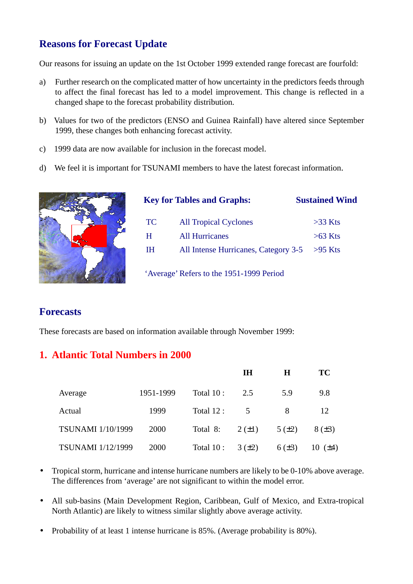### **Reasons for Forecast Update**

Our reasons for issuing an update on the 1st October 1999 extended range forecast are fourfold:

- a) Further research on the complicated matter of how uncertainty in the predictors feeds through to affect the final forecast has led to a model improvement. This change is reflected in a changed shape to the forecast probability distribution.
- b) Values for two of the predictors (ENSO and Guinea Rainfall) have altered since September 1999, these changes both enhancing forecast activity.
- c) 1999 data are now available for inclusion in the forecast model.
- d) We feel it is important for TSUNAMI members to have the latest forecast information.



# **Key for Tables and Graphs: Sustained Wind** TC All Tropical Cyclones  $>33$  Kts H All Hurricanes >63 Kts IH All Intense Hurricanes, Category 3-5 >95 Kts

'Average' Refers to the 1951-1999 Period

#### **Forecasts**

These forecasts are based on information available through November 1999:

#### **1. Atlantic Total Numbers in 2000**

|                          |           |             | IH         | H          | TC           |
|--------------------------|-----------|-------------|------------|------------|--------------|
| Average                  | 1951-1999 | Total $10:$ | 2.5        | 5.9        | 9.8          |
| Actual                   | 1999      | Total $12:$ | 5          | 8          | 12           |
| <b>TSUNAMI</b> 1/10/1999 | 2000      | Total 8:    | $2(\pm 1)$ | 5(±2)      | $8(\pm 3)$   |
| <b>TSUNAMI</b> 1/12/1999 | 2000      | Total $10:$ | 3(±2)      | $6(\pm 3)$ | 10 $(\pm 4)$ |

- Tropical storm, hurricane and intense hurricane numbers are likely to be 0-10% above average. The differences from 'average' are not significant to within the model error.
- All sub-basins (Main Development Region, Caribbean, Gulf of Mexico, and Extra-tropical North Atlantic) are likely to witness similar slightly above average activity.
- Probability of at least 1 intense hurricane is 85%. (Average probability is 80%).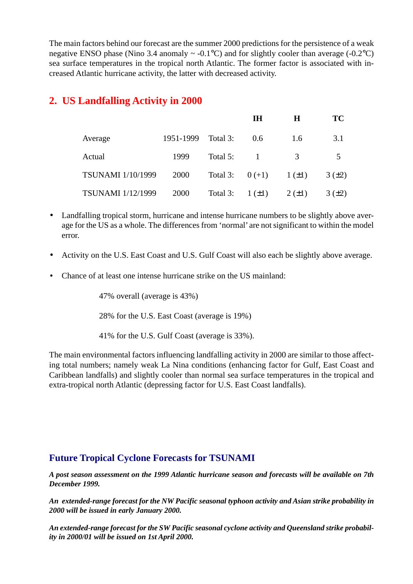The main factors behind our forecast are the summer 2000 predictions for the persistence of a weak negative ENSO phase (Nino 3.4 anomaly  $\sim$  -0.1°C) and for slightly cooler than average (-0.2°C) sea surface temperatures in the tropical north Atlantic. The former factor is associated with increased Atlantic hurricane activity, the latter with decreased activity.

### **2. US Landfalling Activity in 2000**

|                          |           |          | <b>TH</b>                     | H          | <b>TC</b>  |
|--------------------------|-----------|----------|-------------------------------|------------|------------|
| Average                  | 1951-1999 | Total 3: | 0.6                           | 1.6        | 3.1        |
| Actual                   | 1999      | Total 5: |                               | 3          | 5          |
| <b>TSUNAMI</b> 1/10/1999 | 2000      |          | Total 3: $0 (+1)$ $1 (\pm 1)$ |            | $3(\pm 2)$ |
| <b>TSUNAMI</b> 1/12/1999 | 2000      | Total 3: | $1(\pm 1)$                    | $2(\pm 1)$ | 3(±2)      |

- Landfalling tropical storm, hurricane and intense hurricane numbers to be slightly above average for the US as a whole. The differences from 'normal' are not significant to within the model error.
- Activity on the U.S. East Coast and U.S. Gulf Coast will also each be slightly above average.
- Chance of at least one intense hurricane strike on the US mainland:

47% overall (average is 43%)

28% for the U.S. East Coast (average is 19%)

41% for the U.S. Gulf Coast (average is 33%).

The main environmental factors influencing landfalling activity in 2000 are similar to those affecting total numbers; namely weak La Nina conditions (enhancing factor for Gulf, East Coast and Caribbean landfalls) and slightly cooler than normal sea surface temperatures in the tropical and extra-tropical north Atlantic (depressing factor for U.S. East Coast landfalls).

#### **Future Tropical Cyclone Forecasts for TSUNAMI**

*A post season assessment on the 1999 Atlantic hurricane season and forecasts will be available on 7th December 1999.*

*An extended-range forecast for the NW Pacific seasonal typhoon activity and Asian strike probability in 2000 will be issued in early January 2000.*

*An extended-range forecast for the SW Pacific seasonal cyclone activity and Queensland strike probability in 2000/01 will be issued on 1st April 2000.*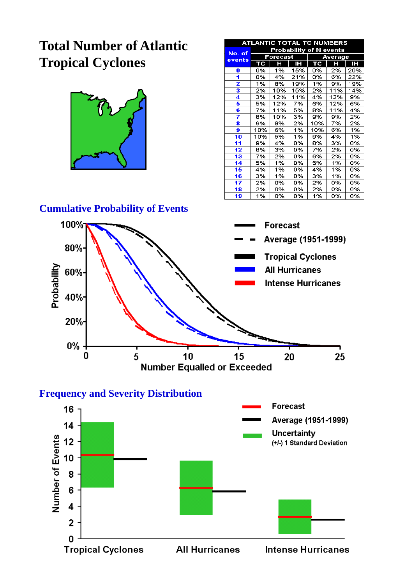# **Total Number of Atlantic Tropical Cyclones**

| <b>ATLANTIC TOTAL TC NUMBERS</b>         |                 |     |           |                |     |     |
|------------------------------------------|-----------------|-----|-----------|----------------|-----|-----|
| <b>Probability of N</b> events<br>No. of |                 |     |           |                |     |     |
| events                                   | <b>Forecast</b> |     |           | <b>Average</b> |     |     |
|                                          | тc              | н   | <b>IH</b> | TC.            | н   | IН  |
| 0                                        | 0%              | 1%  | 15%       | 0%             | 2%  | 20% |
| 1                                        | 0%              | 4%  | 21%       | 0%             | 6%  | 22% |
| 2                                        | 1%              | 8%  | 19%       | 1%             | 9%  | 19% |
| 3                                        | 2%              | 10% | 15%       | 2%             | 11% | 14% |
| 4                                        | 3%              | 12% | 11%       | 4%             | 12% | 9%  |
| 5                                        | 5%              | 12% | 7%        | 6%             | 12% | 6%  |
| 6                                        | 7%              | 11% | 5%        | 8%             | 11% | 4%  |
| 7                                        | 8%              | 10% | 3%        | 9%             | 9%  | 2%  |
| 8                                        | 9%              | 8%  | 2%        | 10%            | 7%  | 2%  |
| 9                                        | 10%             | 6%  | 1%        | 10%            | 6%  | 1%  |
| 10                                       | 10%             | 5%  | 1%        | 9%             | 4%  | 1%  |
| 11                                       | 9%              | 4%  | 0%        | 8%             | 3%  | 0%  |
| 12                                       | 8%              | 3%  | 0%        | 7%             | 2%  | 0%  |
| 13                                       | 7%              | 2%  | 0%        | 6%             | 2%  | 0%  |
| 14                                       | 5%              | 1%  | 0%        | 5%             | 1%  | 0%  |
| 15                                       | 4%              | 1%  | 0%        | 4%             | 1%  | 0%  |
| 16                                       | 3%              | 1%  | 0%        | 3%             | 1%  | 0%  |
| 17                                       | 2%              | 0%  | 0%        | 2%             | 0%  | 0%  |
| 18                                       | 2%              | 0%  | 0%        | 2%             | 0%  | 0%  |
| 19                                       | 1%              | 0%  | 0%        | 1%             | 0%  | 0%  |

# **Cumulative Probability of Events**



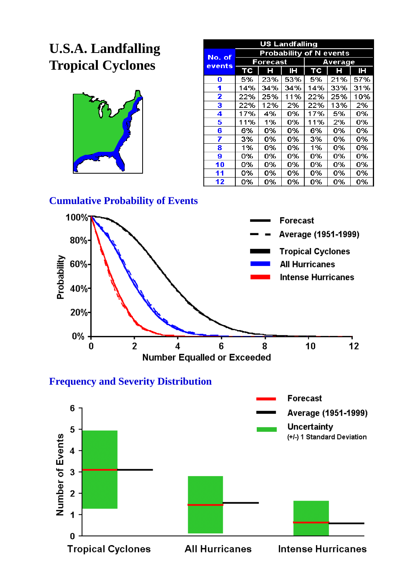# **U.S.A. Landfalling Tropical Cyclones**



| <b>US Landfalling</b> |                                |     |           |                |     |     |  |
|-----------------------|--------------------------------|-----|-----------|----------------|-----|-----|--|
| No. of                | <b>Probability of N events</b> |     |           |                |     |     |  |
| events                | Forecast                       |     |           | <b>Average</b> |     |     |  |
|                       | <b>TC</b>                      | Н   | <b>IH</b> | <b>TC</b>      | н   | IН  |  |
| 0                     | 5%                             | 23% | 53%       | 5%             | 21% | 57% |  |
| 1                     | 14%                            | 34% | 34%       | 14%            | 33% | 31% |  |
| 2                     | 22%                            | 25% | 11%       | 22%            | 25% | 10% |  |
| з                     | 22%                            | 12% | 2%        | 22%            | 13% | 2%  |  |
| 4                     | 17%                            | 4%  | 0%        | 17%            | 5%  | 0%  |  |
| 5                     | 11%                            | 1%  | 0%        | 11%            | 2%  | 0%  |  |
| 6                     | 6%                             | 0%  | 0%        | 6%             | 0%  | 0%  |  |
| 7                     | 3%                             | 0%  | 0%        | 3%             | 0%  | 0%  |  |
| 8                     | 1%                             | 0%  | 0%        | 1%             | 0%  | 0%  |  |
| 9                     | 0%                             | 0%  | 0%        | 0%             | 0%  | 0%  |  |
| 10                    | 0%                             | 0%  | 0%        | 0%             | 0%  | 0%  |  |
| 11                    | 0%                             | 0%  | 0%        | 0%             | 0%  | 0%  |  |
| 12                    | 0%                             | 0%  | 0%        | 0%             | 0%  | 0%  |  |

# **Cumulative Probability of Events**



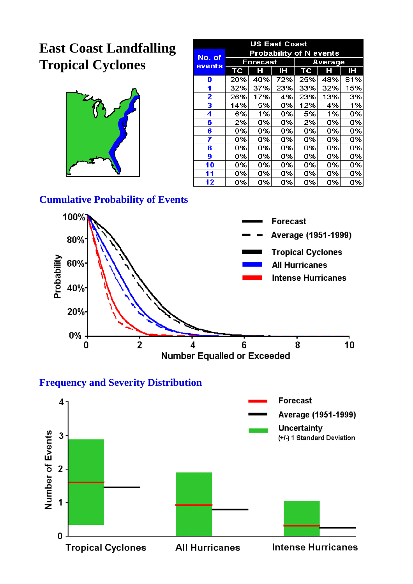# **East Coast Landfalling Tropical Cyclones**



| <b>US East Coast</b> |                                |     |     |                |     |     |  |
|----------------------|--------------------------------|-----|-----|----------------|-----|-----|--|
| No. of               | <b>Probability of N events</b> |     |     |                |     |     |  |
| events               | <b>Forecast</b>                |     |     | <b>Average</b> |     |     |  |
|                      | <b>TC</b>                      | Н   | IН  | <b>TC</b>      | Н   | IН  |  |
| 0                    | 20%                            | 40% | 72% | 25%            | 48% | 81% |  |
| 1                    | 32%                            | 37% | 23% | 33%            | 32% | 15% |  |
| 2                    | 26%                            | 17% | 4%  | 23%            | 13% | 3%  |  |
| 3                    | 14%                            | 5%  | 0%  | 12%            | 4%  | 1%  |  |
| 4                    | 6%                             | 1%  | 0%  | 5%             | 1%  | 0%  |  |
| 5                    | 2%                             | 0%  | 0%  | 2%             | 0%  | 0%  |  |
| 6                    | 0%                             | 0%  | 0%  | 0%             | 0%  | 0%  |  |
| 7                    | 0%                             | 0%  | 0%  | 0%             | 0%  | 0%  |  |
| 8                    | 0%                             | 0%  | 0%  | 0%             | 0%  | 0%  |  |
| 9                    | 0%                             | 0%  | 0%  | 0%             | 0%  | 0%  |  |
| 10                   | 0%                             | 0%  | 0%  | 0%             | 0%  | 0%  |  |
| 11                   | 0%                             | 0%  | 0%  | 0%             | 0%  | 0%  |  |
| 12                   | 0%                             | 0%  | 0%  | 0%             | 0%  | 0%  |  |

# **Cumulative Probability of Events**